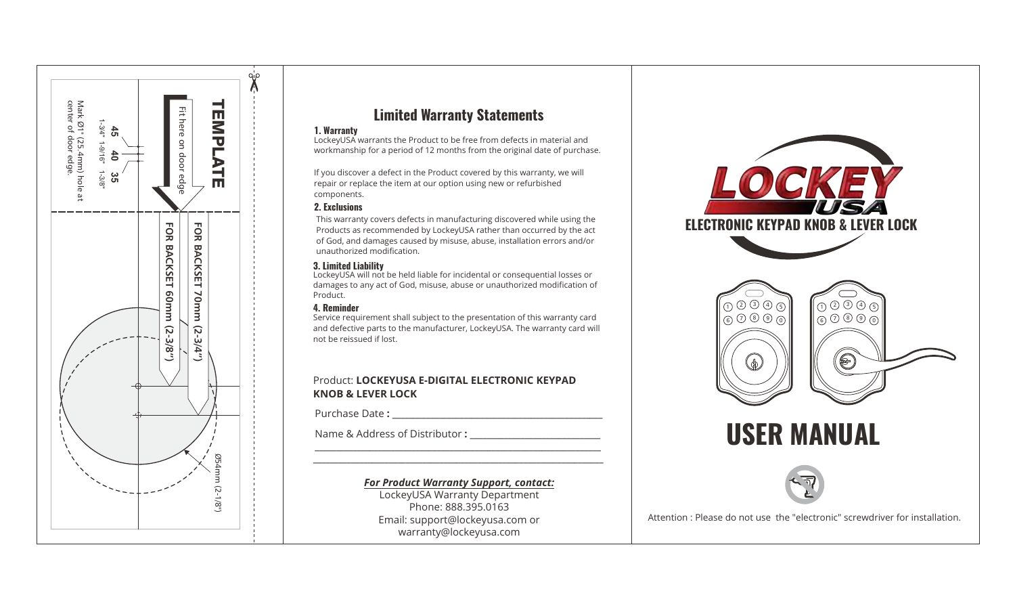

# **Limited Warranty Statements**

#### **1. Warranty**

LockeyUSA warrants the Product to be free from defects in material and workmanship for a period of 12 months from the original date of purchase.

If you discover a defect in the Product covered by this warranty, we will repair or replace the item at our option using new or refurbished components.

## **2. Exclusions**

This warranty covers defects in manufacturing discovered while using the Products as recommended by LockeyUSA rather than occurred by the act of God, and damages caused by misuse, abuse, installation errors and/or unauthorized modification.

## **3. Limited Liability**

LockeyUSA will not be held liable for incidental or consequential losses or damages to any act of God, misuse, abuse or unauthorized modification of Product.

## **4. Reminder**

Service requirement shall subject to the presentation of this warranty card and defective parts to the manufacturer, LockeyUSA. The warranty card will not be reissued if lost.

## Product: **LOCKEYUSA E-DIGITAL ELECTRONIC KEYPAD KNOB & LEVER LOCK**

Purchase Date :

Name & Address of Distributor :

## *For Product Warranty Support, contact:*

**\_\_\_\_\_\_\_\_\_\_\_\_\_\_\_\_\_\_\_\_\_\_\_\_\_\_\_\_\_\_\_\_\_\_\_\_\_\_\_\_\_\_\_\_\_\_\_\_\_\_\_\_\_\_\_\_\_\_\_\_\_\_\_\_\_\_\_\_ \_\_\_\_\_\_\_\_\_\_\_\_\_\_\_\_\_\_\_\_\_\_\_\_\_\_\_\_\_\_\_\_\_\_\_\_\_\_\_\_\_\_\_\_\_\_\_\_\_\_\_\_\_\_\_\_\_\_\_\_\_\_\_\_\_\_\_\_\_**

> LockeyUSA Warranty Department Phone: 888.395.0163 Email: support@lockeyusa.com or warranty@lockeyusa.com

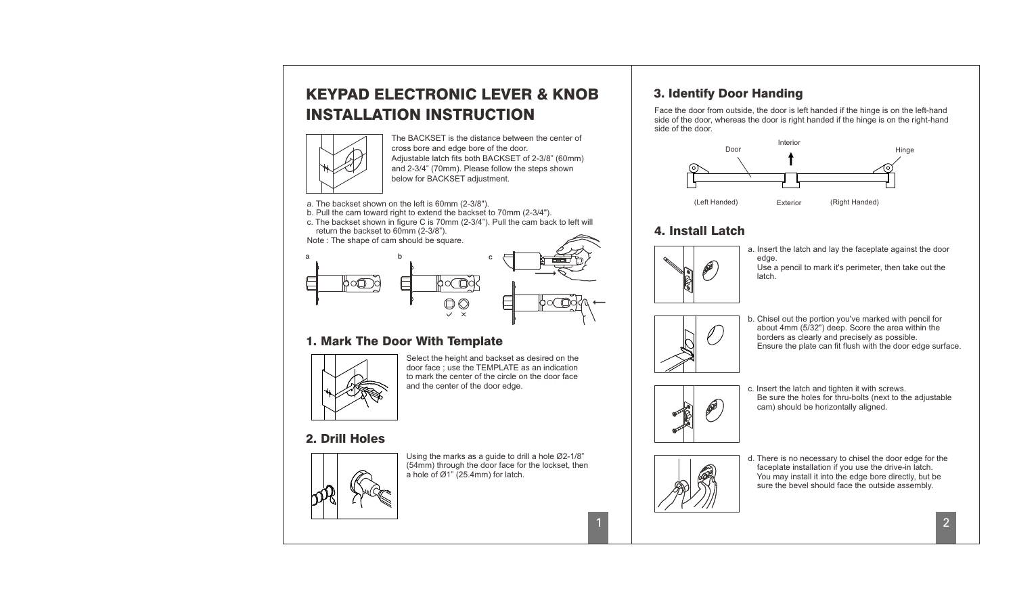# KEYPAD ELECTRONIC LEVER & KNOB INSTALLATION INSTRUCTION



The BACKSET is the distance between the center of cross bore and edge bore of the door. Adjustable latch fits both BACKSET of 2-3/8" (60mm) and 2-3/4" (70mm). Please follow the steps shown below for BACKSET adjustment.

a. The backset shown on the left is 60mm (2-3/8").

- b. Pull the cam toward right to extend the backset to 70mm (2-3/4").
- c. The backset shown in figure C is 70mm (2-3/4"). Pull the cam back to left will return the backset to 60mm (2-3/8").

Note : The shape of cam should be square.



# 1. Mark The Door With Template



Select the height and backset as desired on the door face ; use the TEMPLATE as an indication to mark the center of the circle on the door face and the center of the door edge.

## 2. Drill Holes



Using the marks as a guide to drill a hole Ø2-1/8" (54mm) through the door face for the lockset, then a hole of Ø1" (25.4mm) for latch.

# 3. Identify Door Handing

Face the door from outside, the door is left handed if the hinge is on the left-hand side of the door, whereas the door is right handed if the hinge is on the right-hand side of the door.



## 4. Install Latch



a. Insert the latch and lay the faceplate against the door edge.

Use a pencil to mark it's perimeter, then take out the latch.



b. Chisel out the portion you've marked with pencil for about 4mm (5/32") deep. Score the area within the borders as clearly and precisely as possible. Ensure the plate can fit flush with the door edge surface.



c. Insert the latch and tighten it with screws. Be sure the holes for thru-bolts (next to the adjustable cam) should be horizontally aligned.



1

d. There is no necessary to chisel the door edge for the faceplate installation if you use the drive-in latch. You may install it into the edge bore directly, but be sure the bevel should face the outside assembly.

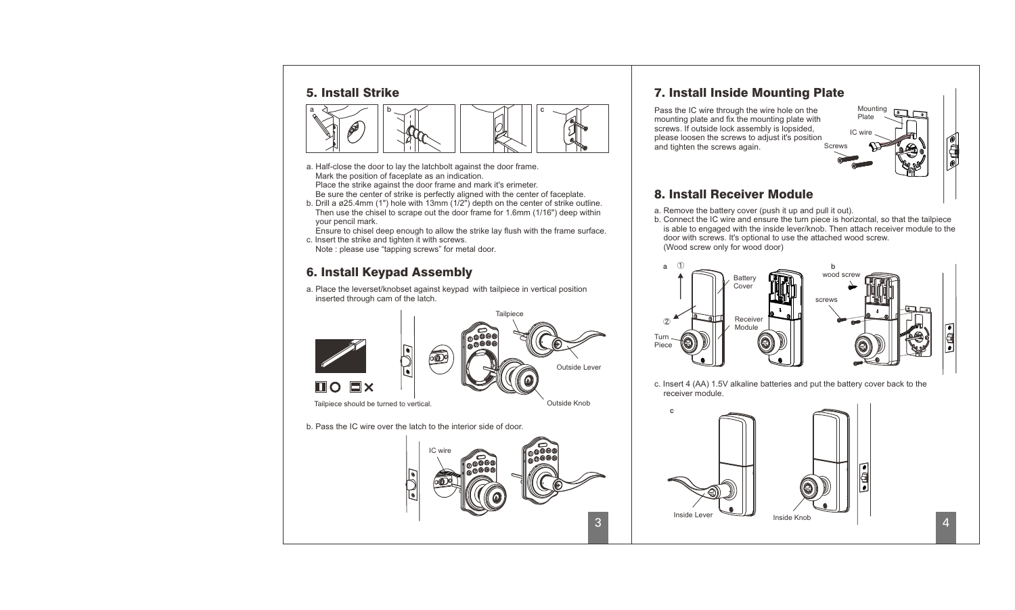## 5. Install Strike



- a. Half-close the door to lay the latchbolt against the door frame. Mark the position of faceplate as an indication. Place the strike against the door frame and mark it's erimeter.
- Be sure the center of strike is perfectly aligned with the center of faceplate. b. Drill a ø25.4mm (1") hole with 13mm (1/2") depth on the center of strike outline.
- Then use the chisel to scrape out the door frame for 1.6mm (1/16") deep within your pencil mark.
- Ensure to chisel deep enough to allow the strike lay flush with the frame surface. c. Insert the strike and tighten it with screws.
- Note : please use "tapping screws" for metal door.

# 6. Install Keypad Assembly

a. Place the leverset/knobset against keypad with tailpiece in vertical position inserted through cam of the latch.



#### b. Pass the IC wire over the latch to the interior side of door.



# 7. Install Inside Mounting Plate

Screws Pass the IC wire through the wire hole on the mounting plate and fix the mounting plate with screws. If outside lock assembly is lopsided, please loosen the screws to adjust it's position and tighten the screws again.



Mounting Plate

IC wire

# 8. Install Receiver Module

- a. Remove the battery cover (push it up and pull it out).
- b. Connect the IC wire and ensure the turn piece is horizontal, so that the tailpiece is able to engaged with the inside lever/knob. Then attach receiver module to the door with screws. It's optional to use the attached wood screw. (Wood screw only for wood door)



c. Insert 4 (AA) 1.5V alkaline batteries and put the battery cover back to the receiver module.

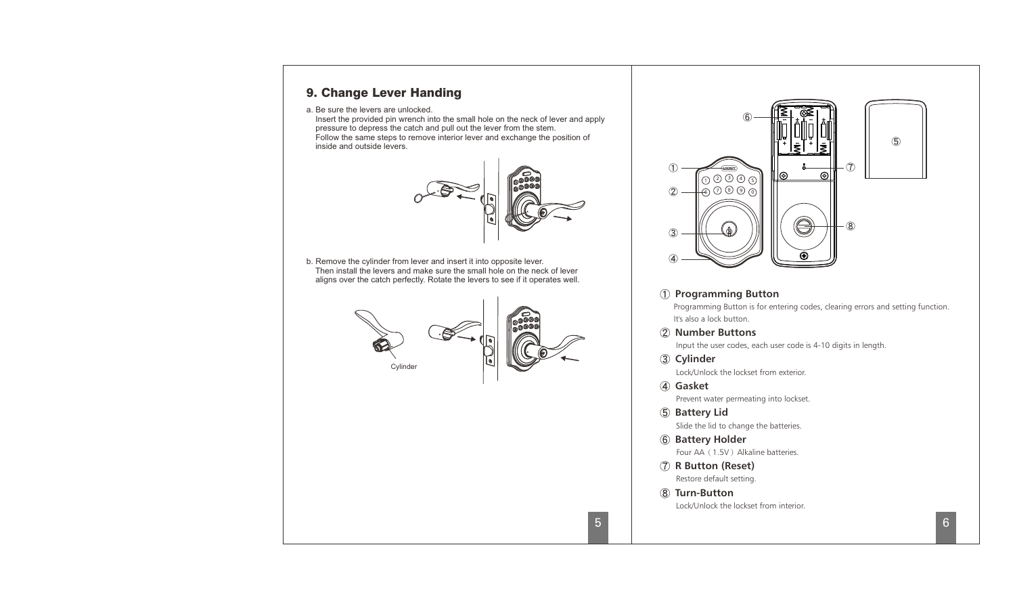## 9. Change Lever Handing

a. Be sure the levers are unlocked.

Insert the provided pin wrench into the small hole on the neck of lever and apply pressure to depress the catch and pull out the lever from the stem. Follow the same steps to remove interior lever and exchange the position of inside and outside levers.



b. Remove the cylinder from lever and insert it into opposite lever. Then install the levers and make sure the small hole on the neck of lever aligns over the catch perfectly. Rotate the levers to see if it operates well.





## **Programming Button**

 Programming Button is for entering codes, clearing errors and setting function. It's also a lock button.

## **Number Buttons**

Input the user codes, each user code is 4-10 digits in length.

**Cylinder**

Lock/Unlock the lockset from exterior.

## **Gasket**

Prevent water permeating into lockset.

#### **Battery Lid**

Slide the lid to change the batteries.

## **Battery Holder**

Four AA (1.5V) Alkaline batteries.

 **R Button (Reset)** Restore default setting.

## **Turn-Button** Lock/Unlock the lockset from interior.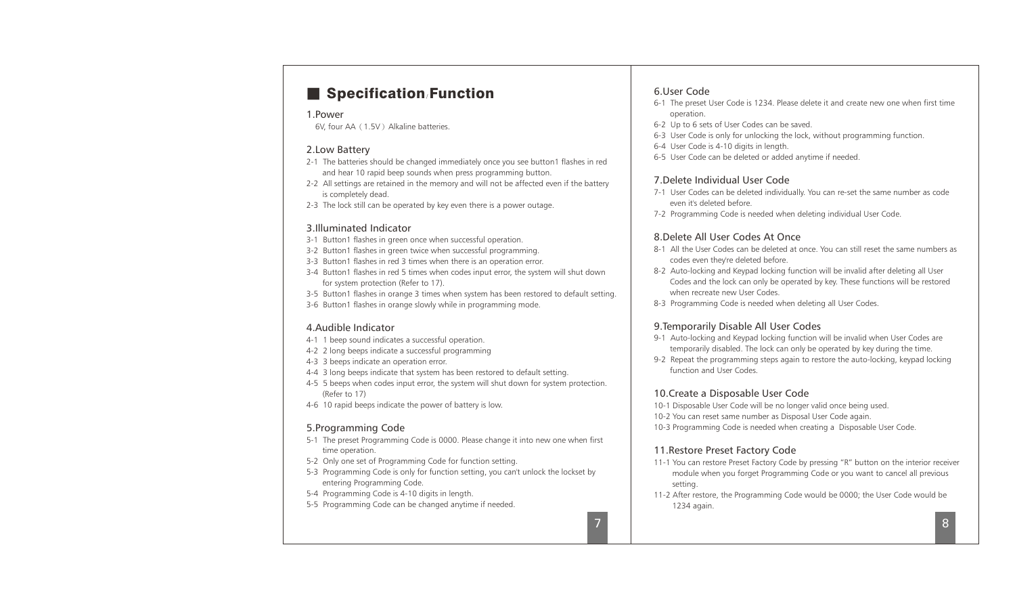# ■ Specification **Function** 6.User Code

## 1.Power

6V, four AA (1.5V) Alkaline batteries.

## 2.Low Battery

- 2-1 The batteries should be changed immediately once you see button1 flashes in red and hear 10 rapid beep sounds when press programming button.
- 2-2 All settings are retained in the memory and will not be affected even if the battery is completely dead.
- 2-3 The lock still can be operated by key even there is a power outage.

## 3.Illuminated Indicator

- 3-1 Button1 flashes in green once when successful operation.
- 3-2 Button1 flashes in green twice when successful programming.
- 3-3 Button1 flashes in red 3 times when there is an operation error.
- 3-4 Button1 flashes in red 5 times when codes input error, the system will shut down for system protection (Refer to 17).
- 3-5 Button1 flashes in orange 3 times when system has been restored to default setting.
- 3-6 Button1 flashes in orange slowly while in programming mode.

## 4.Audible Indicator

- 4-1 1 beep sound indicates a successful operation.
- 4-2 2 long beeps indicate a successful programming
- 4-3 3 beeps indicate an operation error.
- 4-4 3 long beeps indicate that system has been restored to default setting.
- 4-5 5 beeps when codes input error, the system will shut down for system protection. (Refer to 17)
- 4-6 10 rapid beeps indicate the power of battery is low.

## 5.Programming Code

- 5-1 The preset Programming Code is 0000. Please change it into new one when first time operation.
- 5-2 Only one set of Programming Code for function setting.
- 5-3 Programming Code is only for function setting, you can't unlock the lockset by entering Programming Code.
- 5-4 Programming Code is 4-10 digits in length.
- 5-5 Programming Code can be changed anytime if needed.

- 6-1 The preset User Code is 1234. Please delete it and create new one when first time operation.
- 6-2 Up to 6 sets of User Codes can be saved.
- 6-3 User Code is only for unlocking the lock, without programming function.
- 6-4 User Code is 4-10 digits in length.
- 6-5 User Code can be deleted or added anytime if needed.

## 7.Delete Individual User Code

- 7-1 User Codes can be deleted individually. You can re-set the same number as code even it's deleted before.
- 7-2 Programming Code is needed when deleting individual User Code.

## 8.Delete All User Codes At Once

- 8-1 All the User Codes can be deleted at once. You can still reset the same numbers as codes even they're deleted before.
- 8-2 Auto-locking and Keypad locking function will be invalid after deleting all User Codes and the lock can only be operated by key. These functions will be restored when recreate new User Codes.
- 8-3 Programming Code is needed when deleting all User Codes.

## 9.Temporarily Disable All User Codes

- 9-1 Auto-locking and Keypad locking function will be invalid when User Codes are temporarily disabled. The lock can only be operated by key during the time.
- 9-2 Repeat the programming steps again to restore the auto-locking, keypad locking function and User Codes.

## 10.Create a Disposable User Code

- 10-1 Disposable User Code will be no longer valid once being used.
- 10-2 You can reset same number as Disposal User Code again.
- 10-3 Programming Code is needed when creating a Disposable User Code.

## 11.Restore Preset Factory Code

- 11-1 You can restore Preset Factory Code by pressing "R" button on the interior receiver module when you forget Programming Code or you want to cancel all previous setting.
- 11-2 After restore, the Programming Code would be 0000; the User Code would be 1234 again.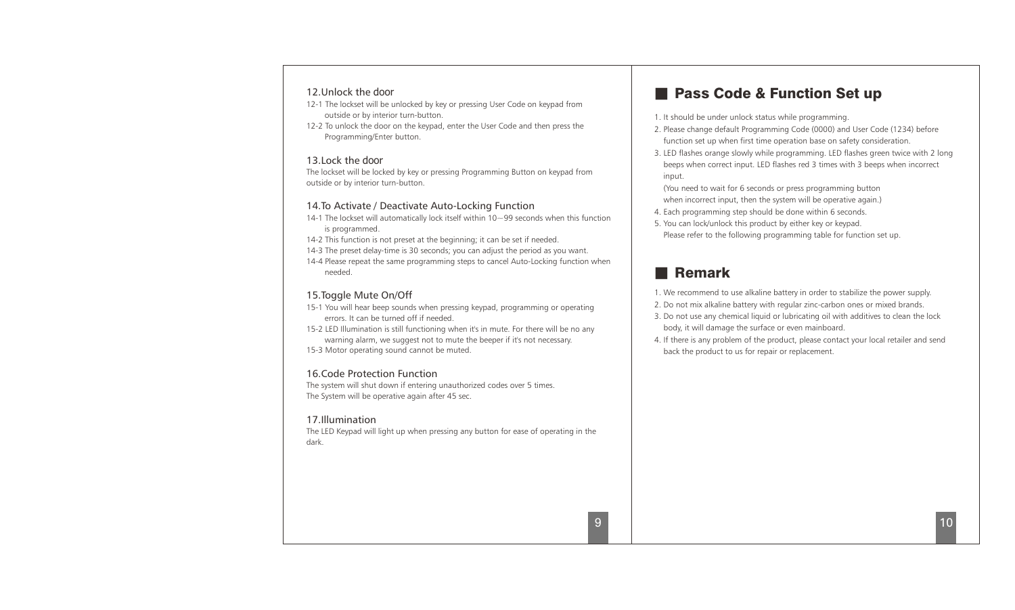## 12.Unlock the door

- 12-1 The lockset will be unlocked by key or pressing User Code on keypad from outside or by interior turn-button.
- 12-2 To unlock the door on the keypad, enter the User Code and then press the Programming/Enter button.

## 13.Lock the door

The lockset will be locked by key or pressing Programming Button on keypad from outside or by interior turn-button.

## 14.To Activate / Deactivate Auto-Locking Function

14-1 The lockset will automatically lock itself within 10 $\sim$ 99 seconds when this function is programmed.

14-2 This function is not preset at the beginning; it can be set if needed.

14-3 The preset delay-time is 30 seconds; you can adjust the period as you want.

14-4 Please repeat the same programming steps to cancel Auto-Locking function when needed.

## 15.Toggle Mute On/Off

- 15-1 You will hear beep sounds when pressing keypad, programming or operating errors. It can be turned off if needed.
- 15-2 LED Illumination is still functioning when it's in mute. For there will be no any warning alarm, we suggest not to mute the beeper if it's not necessary. 15-3 Motor operating sound cannot be muted.

## 16.Code Protection Function

The system will shut down if entering unauthorized codes over 5 times. The System will be operative again after 45 sec.

## 17.Illumination

The LED Keypad will light up when pressing any button for ease of operating in the dark.

# ■ Pass Code & Function Set up

- 1. It should be under unlock status while programming.
- 2. Please change default Programming Code (0000) and User Code (1234) before function set up when first time operation base on safety consideration.
- 3. LED flashes orange slowly while programming. LED flashes green twice with 2 long beeps when correct input. LED flashes red 3 times with 3 beeps when incorrect input.

(You need to wait for 6 seconds or press programming button when incorrect input, then the system will be operative again.)

- 4. Each programming step should be done within 6 seconds.
- 5. You can lock/unlock this product by either key or keypad.
- Please refer to the following programming table for function set up.

# ■ Remark

- 1. We recommend to use alkaline battery in order to stabilize the power supply.
- 2. Do not mix alkaline battery with regular zinc-carbon ones or mixed brands.
- 3. Do not use any chemical liquid or lubricating oil with additives to clean the lock body, it will damage the surface or even mainboard.
- 4. If there is any problem of the product, please contact your local retailer and send back the product to us for repair or replacement.